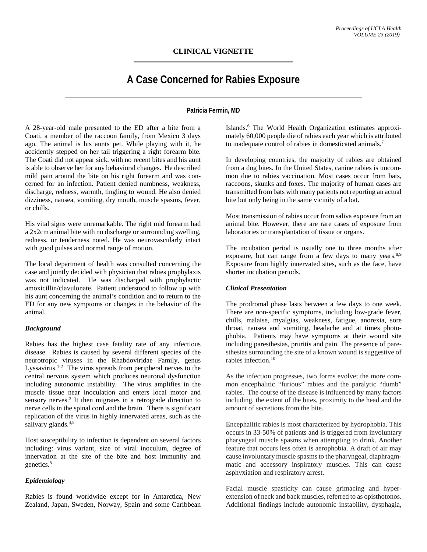# **CLINICAL VIGNETTE**

# **A Case Concerned for Rabies Exposure**

# **Patricia Fermin, MD**

A 28-year-old male presented to the ED after a bite from a Coati, a member of the raccoon family, from Mexico 3 days ago. The animal is his aunts pet. While playing with it, he accidently stepped on her tail triggering a right forearm bite. The Coati did not appear sick, with no recent bites and his aunt is able to observe her for any behavioral changes. He described mild pain around the bite on his right forearm and was concerned for an infection. Patient denied numbness, weakness, discharge, redness, warmth, tingling to wound. He also denied dizziness, nausea, vomiting, dry mouth, muscle spasms, fever, or chills.

His vital signs were unremarkable. The right mid forearm had a 2x2cm animal bite with no discharge or surrounding swelling, redness, or tenderness noted. He was neurovascularly intact with good pulses and normal range of motion.

The local department of health was consulted concerning the case and jointly decided with physician that rabies prophylaxis was not indicated. He was discharged with prophylactic amoxicillin/clavulonate. Patient understood to follow up with his aunt concerning the animal's condition and to return to the ED for any new symptoms or changes in the behavior of the animal.

#### *Background*

Rabies has the highest case fatality rate of any infectious disease. Rabies is caused by several different species of the neurotropic viruses in the Rhabdoviridae Family, genus Lyssavirus.<sup>1-2</sup> The virus spreads from peripheral nerves to the central nervous system which produces neuronal dysfunction including autonomic instability. The virus amplifies in the muscle tissue near inoculation and enters local motor and sensory nerves. <sup>3</sup> It then migrates in a retrograde direction to nerve cells in the spinal cord and the brain. There is significant replication of the virus in highly innervated areas, such as the salivary glands.<sup>4,5</sup>

Host susceptibility to infection is dependent on several factors including: virus variant, size of viral inoculum, degree of innervation at the site of the bite and host immunity and genetics. 5

# *Epidemiology*

Rabies is found worldwide except for in Antarctica, New Zealand, Japan, Sweden, Norway, Spain and some Caribbean Islands. <sup>6</sup> The World Health Organization estimates approximately 60,000 people die of rabies each year which is attributed to inadequate control of rabies in domesticated animals.<sup>7</sup>

In developing countries, the majority of rabies are obtained from a dog bites. In the United States, canine rabies is uncommon due to rabies vaccination. Most cases occur from bats, raccoons, skunks and foxes. The majority of human cases are transmitted from bats with many patients not reporting an actual bite but only being in the same vicinity of a bat.

Most transmission of rabies occur from saliva exposure from an animal bite. However, there are rare cases of exposure from laboratories or transplantation of tissue or organs.

The incubation period is usually one to three months after exposure, but can range from a few days to many years.<sup>8,9</sup> Exposure from highly innervated sites, such as the face, have shorter incubation periods.

#### *Clinical Presentation*

The prodromal phase lasts between a few days to one week. There are non-specific symptoms, including low-grade fever, chills, malaise, myalgias, weakness, fatigue, anorexia, sore throat, nausea and vomiting, headache and at times photophobia. Patients may have symptoms at their wound site including paresthesias, pruritis and pain. The presence of paresthesias surrounding the site of a known wound is suggestive of rabies infection. 10

As the infection progresses, two forms evolve; the more common encephalitic "furious" rabies and the paralytic "dumb" rabies. The course of the disease is influenced by many factors including, the extent of the bites, proximity to the head and the amount of secretions from the bite.

Encephalitic rabies is most characterized by hydrophobia. This occurs in 33-50% of patients and is triggered from involuntary pharyngeal muscle spasms when attempting to drink. Another feature that occurs less often is aerophobia. A draft of air may cause involuntary muscle spasms to the pharyngeal, diaphragmmatic and accessory inspiratory muscles. This can cause asphyxiation and respiratory arrest.

Facial muscle spasticity can cause grimacing and hyperextension of neck and back muscles, referred to as opisthotonos. Additional findings include autonomic instability, dysphagia,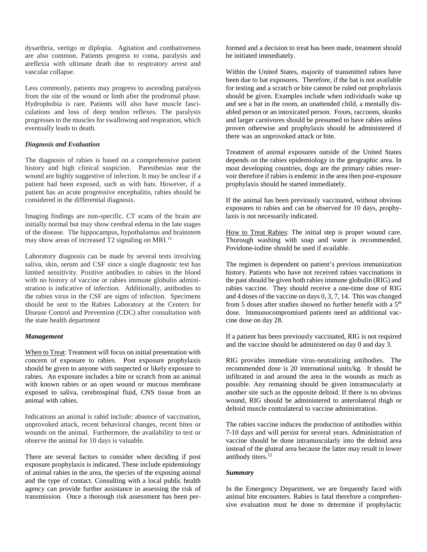dysarthria, vertigo or diplopia. Agitation and combativeness are also common. Patients progress to coma, paralysis and areflexia with ultimate death due to respiratory arrest and vascular collapse.

Less commonly, patients may progress to ascending paralysis from the site of the wound or limb after the prodromal phase. Hydrophobia is rare. Patients will also have muscle fasciculations and loss of deep tendon reflexes. The paralysis progresses to the muscles for swallowing and respiration, which eventually leads to death.

## *Diagnosis and Evaluation*

The diagnosis of rabies is based on a comprehensive patient history and high clinical suspicion. Paresthesias near the wound are highly suggestive of infection. It may be unclear if a patient had been exposed, such as with bats. However, if a patient has an acute progressive encephalitis, rabies should be considered in the differential diagnosis.

Imaging findings are non-specific. CT scans of the brain are initially normal but may show cerebral edema in the late stages of the disease. The hippocampus, hypothalamus and brainstem may show areas of increased  $T2$  signaling on MRI.<sup>11</sup>

Laboratory diagnosis can be made by several tests involving saliva, skin, serum and CSF since a single diagnostic test has limited sensitivity. Positive antibodies to rabies in the blood with no history of vaccine or rabies immune globulin administration is indicative of infection. Additionally, antibodies to the rabies virus in the CSF are signs of infection. Specimens should be sent to the Rabies Laboratory at the Centers for Disease Control and Prevention (CDC) after consultation with the state health department

#### *Management*

When to Treat: Treatment will focus on initial presentation with concern of exposure to rabies. Post exposure prophylaxis should be given to anyone with suspected or likely exposure to rabies. An exposure includes a bite or scratch from an animal with known rabies or an open wound or mucous membrane exposed to saliva, cerebrospinal fluid, CNS tissue from an animal with rabies.

Indications an animal is rabid include: absence of vaccination, unprovoked attack, recent behavioral changes, recent bites or wounds on the animal. Furthermore, the availability to test or observe the animal for 10 days is valuable.

There are several factors to consider when deciding if post exposure prophylaxis is indicated. These include epidemiology of animal rabies in the area, the species of the exposing animal and the type of contact. Consulting with a local public health agency can provide further assistance in assessing the risk of transmission. Once a thorough risk assessment has been performed and a decision to treat has been made, treatment should be initiated immediately.

Within the United States, majority of transmitted rabies have been due to bat exposures. Therefore, if the bat is not available for testing and a scratch or bite cannot be ruled out prophylaxis should be given. Examples include when individuals wake up and see a bat in the room, an unattended child, a mentally disabled person or an intoxicated person. Foxes, raccoons, skunks and larger carnivores should be presumed to have rabies unless proven otherwise and prophylaxis should be administered if there was an unprovoked attack or bite.

Treatment of animal exposures outside of the United States depends on the rabies epidemiology in the geographic area. In most developing countries, dogs are the primary rabies reservoir therefore if rabies is endemic in the area then post-exposure prophylaxis should be started immediately.

If the animal has been previously vaccinated, without obvious exposures to rabies and can be observed for 10 days, prophylaxis is not necessarily indicated.

How to Treat Rabies: The initial step is proper wound care. Thorough washing with soap and water is recommended. Povidone-iodine should be used if available.

The regimen is dependent on patient's previous immunization history. Patients who have not received rabies vaccinations in the past should be given both rabies immune globulin (RIG) and rabies vaccine. They should receive a one-time dose of RIG and 4 doses of the vaccine on days 0, 3, 7, 14. This was changed from 5 doses after studies showed no further benefit with a 5<sup>th</sup> dose. Immunocompromised patients need an additional vaccine dose on day 28.

If a patient has been previously vaccinated, RIG is not required and the vaccine should be administered on day 0 and day 3.

RIG provides immediate virus-neutralizing antibodies. The recommended dose is 20 international units/kg. It should be infiltrated in and around the area in the wounds as much as possible. Any remaining should be given intramuscularly at another site such as the opposite deltoid. If there is no obvious wound, RIG should be administered to anterolateral thigh or deltoid muscle contralateral to vaccine administration.

The rabies vaccine induces the production of antibodies within 7-10 days and will persist for several years. Administration of vaccine should be done intramuscularly into the deltoid area instead of the gluteal area because the latter may result in lower antibody titers. 12

#### *Summary*

In the Emergency Department, we are frequently faced with animal bite encounters. Rabies is fatal therefore a comprehensive evaluation must be done to determine if prophylactic